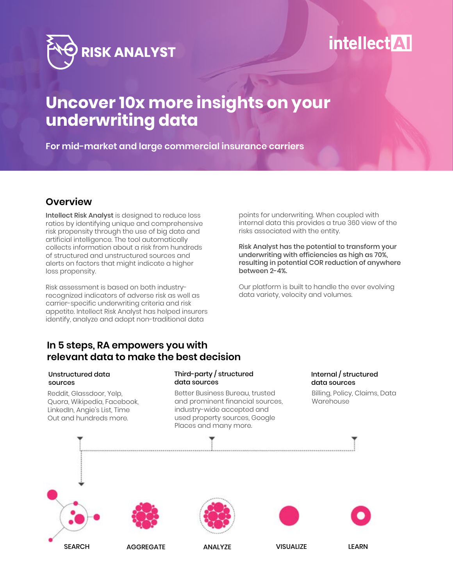



# **Uncover 10x more insights on your underwriting data**

**For mid-market and large commercial insurance carriers**

## **Overview**

Intellect Risk Analyst is designed to reduce loss ratios by identifying unique and comprehensive risk propensity through the use of big data and artificial intelligence. The tool automatically collects information about a risk from hundreds of structured and unstructured sources and alerts on factors that might indicate a higher loss propensity.

Risk assessment is based on both industryrecognized indicators of adverse risk as well as carrier-specific underwriting criteria and risk appetite. Intellect Risk Analyst has helped insurers identify, analyze and adopt non-traditional data

## **In 5 steps, RA empowers you with relevant data to make the best decision**

#### Unstructured data sources

Reddit, Glassdoor, Yelp, Quora, Wikipedia, Facebook, LinkedIn, Angie's List, Time Out and hundreds more.

#### Third-party / structured data sources

Better Business Bureau, trusted and prominent financial sources, industry-wide accepted and used property sources, Google Places and many more.

points for underwriting. When coupled with internal data this provides a true 360 view of the risks associated with the entity.

Risk Analyst has the potential to transform your underwriting with efficiencies as high as 70%, resulting in potential COR reduction of anywhere between 2-4%.

Our platform is built to handle the ever evolving data variety, velocity and volumes.

#### Internal / structured data sources

Billing, Policy, Claims, Data Warehouse